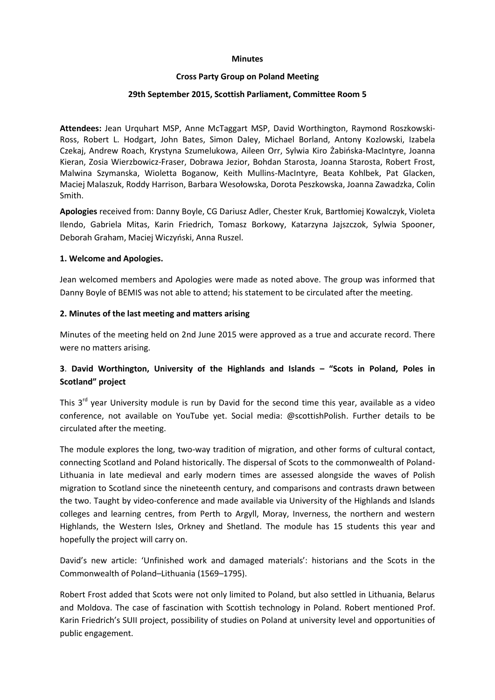### **Minutes**

#### **Cross Party Group on Poland Meeting**

#### **29th September 2015, Scottish Parliament, Committee Room 5**

**Attendees:** Jean Urquhart MSP, Anne McTaggart MSP, David Worthington, Raymond Roszkowski-Ross, Robert L. Hodgart, John Bates, Simon Daley, Michael Borland, Antony Kozlowski, Izabela Czekaj, Andrew Roach, Krystyna Szumelukowa, Aileen Orr, Sylwia Kiro Żabińska-MacIntyre, Joanna Kieran, Zosia Wierzbowicz-Fraser, Dobrawa Jezior, Bohdan Starosta, Joanna Starosta, Robert Frost, Malwina Szymanska, Wioletta Boganow, Keith Mullins-MacIntyre, Beata Kohlbek, Pat Glacken, Maciej Malaszuk, Roddy Harrison, Barbara Wesołowska, Dorota Peszkowska, Joanna Zawadzka, Colin Smith.

**Apologies** received from: Danny Boyle, CG Dariusz Adler, Chester Kruk, Bartłomiej Kowalczyk, Violeta Ilendo, Gabriela Mitas, Karin Friedrich, Tomasz Borkowy, Katarzyna Jajszczok, Sylwia Spooner, Deborah Graham, Maciej Wiczyński, Anna Ruszel.

#### **1. Welcome and Apologies.**

Jean welcomed members and Apologies were made as noted above. The group was informed that Danny Boyle of BEMIS was not able to attend; his statement to be circulated after the meeting.

#### **2. Minutes of the last meeting and matters arising**

Minutes of the meeting held on 2nd June 2015 were approved as a true and accurate record. There were no matters arising.

# **3**. **David Worthington, University of the Highlands and Islands – "Scots in Poland, Poles in Scotland" project**

This  $3<sup>rd</sup>$  year University module is run by David for the second time this year, available as a video conference, not available on YouTube yet. Social media: @scottishPolish. Further details to be circulated after the meeting.

The module explores the long, two-way tradition of migration, and other forms of cultural contact, connecting Scotland and Poland historically. The dispersal of Scots to the commonwealth of Poland-Lithuania in late medieval and early modern times are assessed alongside the waves of Polish migration to Scotland since the nineteenth century, and comparisons and contrasts drawn between the two. Taught by video-conference and made available via University of the Highlands and Islands colleges and learning centres, from Perth to Argyll, Moray, Inverness, the northern and western Highlands, the Western Isles, Orkney and Shetland. The module has 15 students this year and hopefully the project will carry on.

David's new article: 'Unfinished work and damaged materials': historians and the Scots in the Commonwealth of Poland–Lithuania (1569–1795).

Robert Frost added that Scots were not only limited to Poland, but also settled in Lithuania, Belarus and Moldova. The case of fascination with Scottish technology in Poland. Robert mentioned Prof. Karin Friedrich's SUII project, possibility of studies on Poland at university level and opportunities of public engagement.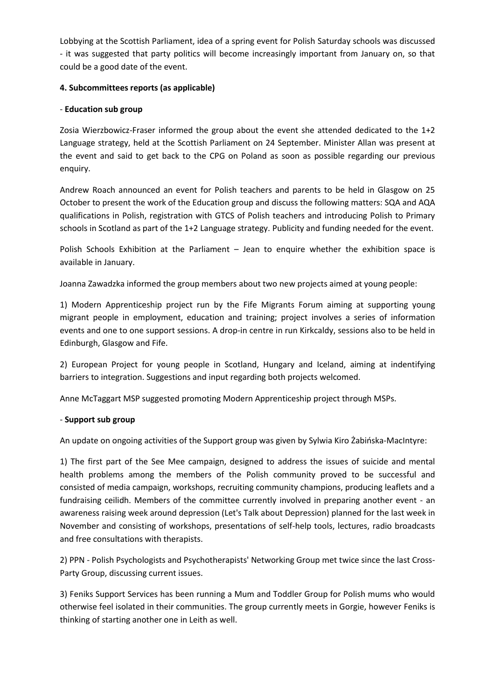Lobbying at the Scottish Parliament, idea of a spring event for Polish Saturday schools was discussed - it was suggested that party politics will become increasingly important from January on, so that could be a good date of the event.

## **4. Subcommittees reports (as applicable)**

### - **Education sub group**

Zosia Wierzbowicz-Fraser informed the group about the event she attended dedicated to the 1+2 Language strategy, held at the Scottish Parliament on 24 September. Minister Allan was present at the event and said to get back to the CPG on Poland as soon as possible regarding our previous enquiry.

Andrew Roach announced an event for Polish teachers and parents to be held in Glasgow on 25 October to present the work of the Education group and discuss the following matters: SQA and AQA qualifications in Polish, registration with GTCS of Polish teachers and introducing Polish to Primary schools in Scotland as part of the 1+2 Language strategy. Publicity and funding needed for the event.

Polish Schools Exhibition at the Parliament - Jean to enquire whether the exhibition space is available in January.

Joanna Zawadzka informed the group members about two new projects aimed at young people:

1) Modern Apprenticeship project run by the Fife Migrants Forum aiming at supporting young migrant people in employment, education and training; project involves a series of information events and one to one support sessions. A drop-in centre in run Kirkcaldy, sessions also to be held in Edinburgh, Glasgow and Fife.

2) European Project for young people in Scotland, Hungary and Iceland, aiming at indentifying barriers to integration. Suggestions and input regarding both projects welcomed.

Anne McTaggart MSP suggested promoting Modern Apprenticeship project through MSPs.

### - **Support sub group**

An update on ongoing activities of the Support group was given by Sylwia Kiro Żabińska-MacIntyre:

1) The first part of the See Mee campaign, designed to address the issues of suicide and mental health problems among the members of the Polish community proved to be successful and consisted of media campaign, workshops, recruiting community champions, producing leaflets and a fundraising ceilidh. Members of the committee currently involved in preparing another event - an awareness raising week around depression (Let's Talk about Depression) planned for the last week in November and consisting of workshops, presentations of self-help tools, lectures, radio broadcasts and free consultations with therapists.

2) PPN - Polish Psychologists and Psychotherapists' Networking Group met twice since the last Cross-Party Group, discussing current issues.

3) Feniks Support Services has been running a Mum and Toddler Group for Polish mums who would otherwise feel isolated in their communities. The group currently meets in Gorgie, however Feniks is thinking of starting another one in Leith as well.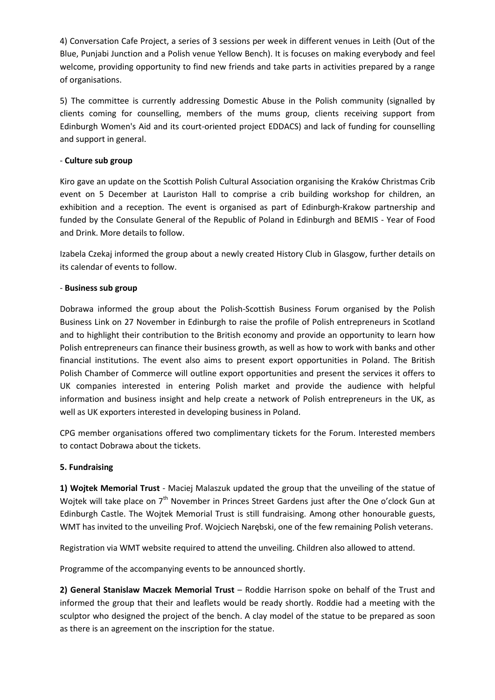4) Conversation Cafe Project, a series of 3 sessions per week in different venues in Leith (Out of the Blue, Punjabi Junction and a Polish venue Yellow Bench). It is focuses on making everybody and feel welcome, providing opportunity to find new friends and take parts in activities prepared by a range of organisations.

5) The committee is currently addressing Domestic Abuse in the Polish community (signalled by clients coming for counselling, members of the mums group, clients receiving support from Edinburgh Women's Aid and its court-oriented project EDDACS) and lack of funding for counselling and support in general.

### - **Culture sub group**

Kiro gave an update on the Scottish Polish Cultural Association organising the Kraków Christmas Crib event on 5 December at Lauriston Hall to comprise a crib building workshop for children, an exhibition and a reception. The event is organised as part of Edinburgh-Krakow partnership and funded by the Consulate General of the Republic of Poland in Edinburgh and BEMIS - Year of Food and Drink. More details to follow.

Izabela Czekaj informed the group about a newly created History Club in Glasgow, further details on its calendar of events to follow.

### - **Business sub group**

Dobrawa informed the group about the Polish-Scottish Business Forum organised by the Polish Business Link on 27 November in Edinburgh to raise the profile of Polish entrepreneurs in Scotland and to highlight their contribution to the British economy and provide an opportunity to learn how Polish entrepreneurs can finance their business growth, as well as how to work with banks and other financial institutions. The event also aims to present export opportunities in Poland. The British Polish Chamber of Commerce will outline export opportunities and present the services it offers to UK companies interested in entering Polish market and provide the audience with helpful information and business insight and help create a network of Polish entrepreneurs in the UK, as well as UK exporters interested in developing business in Poland.

CPG member organisations offered two complimentary tickets for the Forum. Interested members to contact Dobrawa about the tickets.

### **5. Fundraising**

**1) Wojtek Memorial Trust** - Maciej Malaszuk updated the group that the unveiling of the statue of Wojtek will take place on 7<sup>th</sup> November in Princes Street Gardens just after the One o'clock Gun at Edinburgh Castle. The Wojtek Memorial Trust is still fundraising. Among other honourable guests, WMT has invited to the unveiling Prof. Wojciech Narębski, one of the few remaining Polish veterans.

Registration via WMT website required to attend the unveiling. Children also allowed to attend.

Programme of the accompanying events to be announced shortly.

**2) General Stanislaw Maczek Memorial Trust** – Roddie Harrison spoke on behalf of the Trust and informed the group that their and leaflets would be ready shortly. Roddie had a meeting with the sculptor who designed the project of the bench. A clay model of the statue to be prepared as soon as there is an agreement on the inscription for the statue.